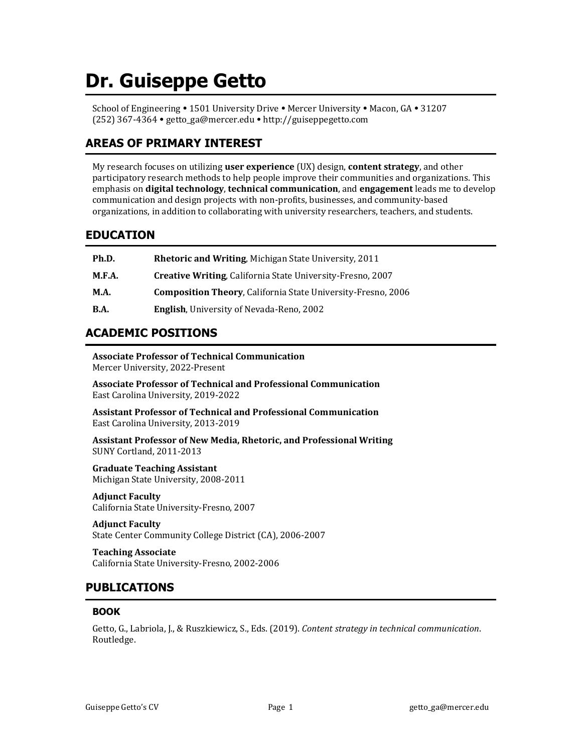# **Dr. Guiseppe Getto**

School of Engineering • 1501 University Drive • Mercer University • Macon, GA • 31207 (252) 367-4364 getto\_ga@mercer.edu http://guiseppegetto.com

# **AREAS OF PRIMARY INTEREST**

My research focuses on utilizing **user experience** (UX) design, **content strategy**, and other participatory research methods to help people improve their communities and organizations. This emphasis on **digital technology**, **technical communication**, and **engagement** leads me to develop communication and design projects with non-profits, businesses, and community-based organizations, in addition to collaborating with university researchers, teachers, and students.

# **EDUCATION**

| Ph.D.       | <b>Rhetoric and Writing, Michigan State University, 2011</b>        |
|-------------|---------------------------------------------------------------------|
| M.F.A.      | <b>Creative Writing, California State University-Fresno, 2007</b>   |
| <b>M.A.</b> | <b>Composition Theory, California State University-Fresno, 2006</b> |
| B.A.        | <b>English, University of Nevada-Reno, 2002</b>                     |

# **ACADEMIC POSITIONS**

**Associate Professor of Technical Communication** Mercer University, 2022-Present

**Associate Professor of Technical and Professional Communication** East Carolina University, 2019-2022

**Assistant Professor of Technical and Professional Communication** East Carolina University, 2013-2019

**Assistant Professor of New Media, Rhetoric, and Professional Writing** SUNY Cortland, 2011-2013

**Graduate Teaching Assistant** Michigan State University, 2008-2011

**Adjunct Faculty** California State University-Fresno, 2007

**Adjunct Faculty** State Center Community College District (CA), 2006-2007

**Teaching Associate** California State University-Fresno, 2002-2006

# **PUBLICATIONS**

# **BOOK**

Getto, G., Labriola, J., & Ruszkiewicz, S., Eds. (2019). *Content strategy in technical communication*. Routledge.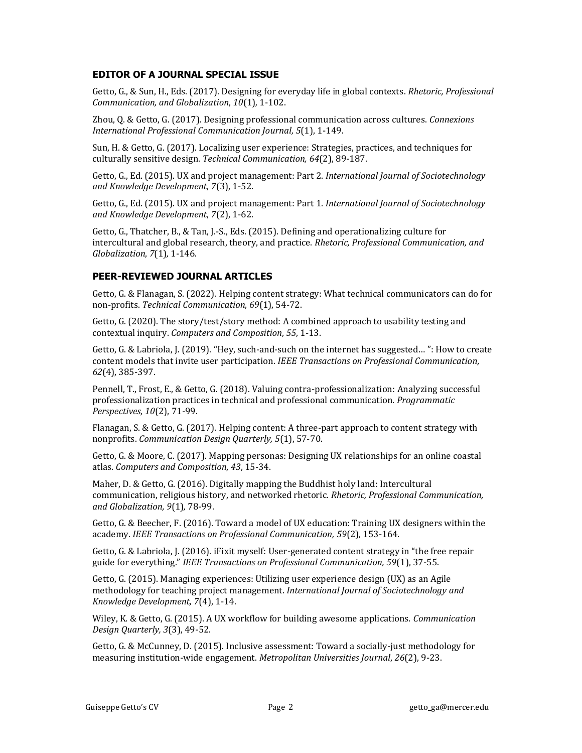## **EDITOR OF A JOURNAL SPECIAL ISSUE**

Getto, G., & Sun, H., Eds. (2017). Designing for everyday life in global contexts. *Rhetoric, Professional Communication, and Globalization*, *10*(1)*,* 1-102.

Zhou, Q. & Getto, G. (2017). Designing professional communication across cultures. *Connexions International Professional Communication Journal, 5*(1), 1-149.

Sun, H. & Getto, G. (2017). Localizing user experience: Strategies, practices, and techniques for culturally sensitive design. *Technical Communication, 64*(2), 89-187.

Getto, G., Ed. (2015). UX and project management: Part 2. *International Journal of Sociotechnology and Knowledge Development*, *7*(3), 1-52.

Getto, G., Ed. (2015). UX and project management: Part 1. *International Journal of Sociotechnology and Knowledge Development*, *7*(2), 1-62.

Getto, G., Thatcher, B., & Tan, J.-S., Eds. (2015). Defining and operationalizing culture for intercultural and global research, theory, and practice. *Rhetoric, Professional Communication, and Globalization*, *7*(1)*,* 1-146.

# **PEER-REVIEWED JOURNAL ARTICLES**

Getto, G. & Flanagan, S. (2022). Helping content strategy: What technical communicators can do for non-profits. *Technical Communication*, *69*(1), 54-72.

Getto, G. (2020). The story/test/story method: A combined approach to usability testing and contextual inquiry. *Computers and Composition*, *55*, 1-13.

Getto, G. & Labriola, J. (2019). "Hey, such-and-such on the internet has suggested… ": How to create content models that invite user participation. *IEEE Transactions on Professional Communication, 62*(4), 385-397.

Pennell, T., Frost, E., & Getto, G. (2018). Valuing contra-professionalization: Analyzing successful professionalization practices in technical and professional communication. *Programmatic Perspectives, 10*(2), 71-99.

Flanagan, S. & Getto, G. (2017). Helping content: A three-part approach to content strategy with nonprofits. *Communication Design Quarterly, 5*(1), 57-70.

Getto, G. & Moore, C. (2017). Mapping personas: Designing UX relationships for an online coastal atlas. *Computers and Composition*, *43*, 15-34.

Maher, D. & Getto, G. (2016). Digitally mapping the Buddhist holy land: Intercultural communication, religious history, and networked rhetoric. *Rhetoric, Professional Communication, and Globalization, 9*(1)*,* 78-99.

Getto, G. & Beecher, F. (2016). Toward a model of UX education: Training UX designers within the academy. *IEEE Transactions on Professional Communication, 59*(2), 153-164.

Getto, G. & Labriola, J. (2016). iFixit myself: User-generated content strategy in "the free repair guide for everything." *IEEE Transactions on Professional Communication, 59*(1), 37-55.

Getto, G. (2015). Managing experiences: Utilizing user experience design (UX) as an Agile methodology for teaching project management. *International Journal of Sociotechnology and Knowledge Development, 7*(4), 1-14.

Wiley, K. & Getto, G. (2015). A UX workflow for building awesome applications. *Communication Design Quarterly, 3*(3), 49-52.

Getto, G. & McCunney, D. (2015). Inclusive assessment: Toward a socially-just methodology for measuring institution-wide engagement. *Metropolitan Universities Journal*, *26*(2), 9-23.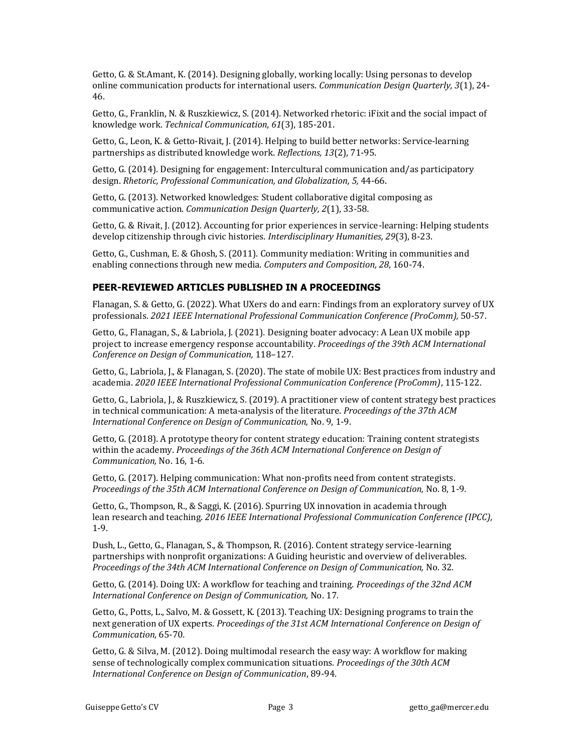Getto, G. & St.Amant, K. (2014). Designing globally, working locally: Using personas to develop online communication products for international users. *Communication Design Quarterly, 3*(1), 24- 46.

Getto, G., Franklin, N. & Ruszkiewicz, S. (2014). Networked rhetoric: iFixit and the social impact of knowledge work. *Technical Communication*, *61*(3), 185-201.

Getto, G., Leon, K. & Getto-Rivait, J. (2014). Helping to build better networks: Service-learning partnerships as distributed knowledge work. *Reflections, 13*(2), 71-95.

Getto, G. (2014). Designing for engagement: Intercultural communication and/as participatory design. *Rhetoric, Professional Communication, and Globalization, 5,* 44-66.

Getto, G. (2013). Networked knowledges: Student collaborative digital composing as communicative action. *Communication Design Quarterly, 2*(1), 33-58*.*

Getto, G. & Rivait, J. (2012). Accounting for prior experiences in service-learning: Helping students develop citizenship through civic histories. *Interdisciplinary Humanities, 29*(3), 8-23.

Getto, G., Cushman, E. & Ghosh, S. (2011). Community mediation: Writing in communities and enabling connections through new media. *Computers and Composition, 28*, 160-74.

## **PEER-REVIEWED ARTICLES PUBLISHED IN A PROCEEDINGS**

Flanagan, S. & Getto, G. (2022). What UXers do and earn: Findings from an exploratory survey of UX professionals. *2021 IEEE International Professional Communication Conference (ProComm),* 50-57.

Getto, G., Flanagan, S., & Labriola, J. (2021). Designing boater advocacy: A Lean UX mobile app project to increase emergency response accountability. *Proceedings of the 39th ACM International Conference on Design of Communication,* 118–127.

Getto, G., Labriola, J., & Flanagan, S. (2020). The state of mobile UX: Best practices from industry and academia. *2020 IEEE International Professional Communication Conference (ProComm)*, 115-122.

Getto, G., Labriola, J., & Ruszkiewicz, S. (2019). A practitioner view of content strategy best practices in technical communication: A meta-analysis of the literature. *Proceedings of the 37th ACM International Conference on Design of Communication,* No. 9, 1-9.

Getto, G. (2018). A prototype theory for content strategy education: Training content strategists within the academy. *Proceedings of the 36th ACM International Conference on Design of Communication,* No. 16, 1-6*.*

Getto, G. (2017). Helping communication: What non-profits need from content strategists. *Proceedings of the 35th ACM International Conference on Design of Communication,* No. 8, 1-9*.*

Getto, G., Thompson, R., & Saggi, K. (2016). Spurring UX innovation in academia through lean research and teaching. *2016 IEEE International Professional Communication Conference (IPCC),*  1-9.

Dush, L., Getto, G., Flanagan, S., & Thompson, R. (2016). Content strategy service-learning partnerships with nonprofit organizations: A Guiding heuristic and overview of deliverables. *Proceedings of the 34th ACM International Conference on Design of Communication,* No. 32*.*

Getto, G. (2014). Doing UX: A workflow for teaching and training. *Proceedings of the 32nd ACM International Conference on Design of Communication,* No. 17*.*

Getto, G., Potts, L., Salvo, M. & Gossett, K. (2013). Teaching UX: Designing programs to train the next generation of UX experts. *Proceedings of the 31st ACM International Conference on Design of Communication,* 65-70*.*

Getto, G. & Silva, M. (2012). Doing multimodal research the easy way: A workflow for making sense of technologically complex communication situations. *Proceedings of the 30th ACM International Conference on Design of Communication*, 89-94.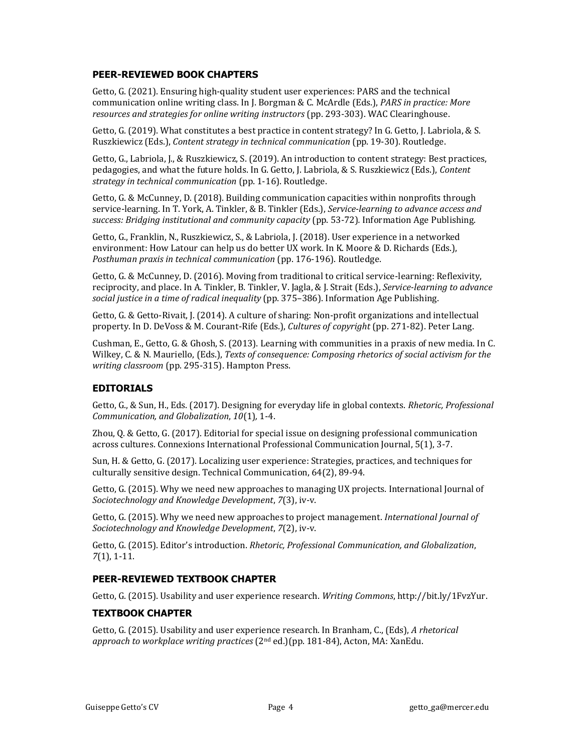## **PEER-REVIEWED BOOK CHAPTERS**

Getto, G. (2021). Ensuring high-quality student user experiences: PARS and the technical communication online writing class. In J. Borgman & C. McArdle (Eds.), *PARS in practice: More resources and strategies for online writing instructors* (pp. 293-303). WAC Clearinghouse.

Getto, G. (2019). What constitutes a best practice in content strategy? In G. Getto, J. Labriola, & S. Ruszkiewicz (Eds.), *Content strategy in technical communication* (pp. 19-30). Routledge.

Getto, G., Labriola, J., & Ruszkiewicz, S. (2019). An introduction to content strategy: Best practices, pedagogies, and what the future holds. In G. Getto, J. Labriola, & S. Ruszkiewicz (Eds.), *Content strategy in technical communication* (pp. 1-16). Routledge.

Getto, G. & McCunney, D. (2018). Building communication capacities within nonprofits through service-learning. In T. York, A. Tinkler, & B. Tinkler (Eds.), *Service-learning to advance access and success: Bridging institutional and community capacity* (pp. 53-72)*.* Information Age Publishing.

Getto, G., Franklin, N., Ruszkiewicz, S., & Labriola, J. (2018). User experience in a networked environment: How Latour can help us do better UX work. In K. Moore & D. Richards (Eds.), *Posthuman praxis in technical communication* (pp. 176-196). Routledge.

Getto, G. & McCunney, D. (2016). Moving from traditional to critical service-learning: Reflexivity, reciprocity, and place. In A. Tinkler, B. Tinkler, V. Jagla, & J. Strait (Eds.), *Service-learning to advance social justice in a time of radical inequality* (pp. 375–386). Information Age Publishing.

Getto, G. & Getto-Rivait, J. (2014). A culture of sharing: Non-profit organizations and intellectual property. In D. DeVoss & M. Courant-Rife (Eds.), *Cultures of copyright* (pp. 271-82). Peter Lang.

Cushman, E., Getto, G. & Ghosh, S. (2013). Learning with communities in a praxis of new media. In C. Wilkey, C. & N. Mauriello, (Eds.), *Texts of consequence: Composing rhetorics of social activism for the writing classroom* (pp. 295-315). Hampton Press.

## **EDITORIALS**

Getto, G., & Sun, H., Eds. (2017). Designing for everyday life in global contexts. *Rhetoric, Professional Communication, and Globalization*, *10*(1)*,* 1-4.

Zhou, Q. & Getto, G. (2017). Editorial for special issue on designing professional communication across cultures. Connexions International Professional Communication Journal, 5(1), 3-7.

Sun, H. & Getto, G. (2017). Localizing user experience: Strategies, practices, and techniques for culturally sensitive design. Technical Communication, 64(2), 89-94.

Getto, G. (2015). Why we need new approaches to managing UX projects. International Journal of *Sociotechnology and Knowledge Development*, *7*(3), iv-v.

Getto, G. (2015). Why we need new approaches to project management. *International Journal of Sociotechnology and Knowledge Development*, *7*(2), iv-v.

Getto, G. (2015). Editor's introduction. *Rhetoric, Professional Communication, and Globalization*, *7*(1), 1-11.

# **PEER-REVIEWED TEXTBOOK CHAPTER**

Getto, G. (2015). Usability and user experience research. *Writing Commons*, http://bit.ly/1FvzYur.

## **TEXTBOOK CHAPTER**

Getto, G. (2015). Usability and user experience research. In Branham, C., (Eds), *A rhetorical approach to workplace writing practices* (2nd ed.)(pp. 181-84), Acton, MA: XanEdu.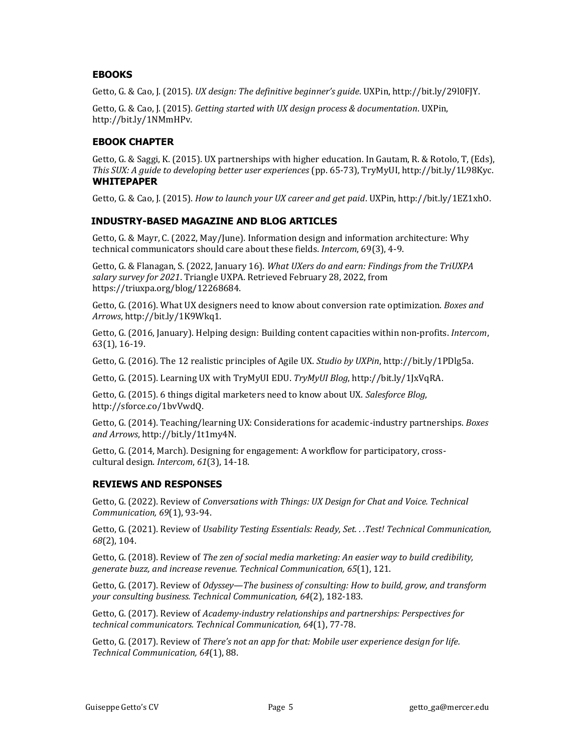# **EBOOKS**

Getto, G. & Cao, J. (2015). *UX design: The definitive beginner's guide*. UXPin, http://bit.ly/29l0FJY.

Getto, G. & Cao, J. (2015). *Getting started with UX design process & documentation*. UXPin, http://bit.ly/1NMmHPv.

# **EBOOK CHAPTER**

Getto, G. & Saggi, K. (2015). UX partnerships with higher education. In Gautam, R. & Rotolo, T, (Eds), *This SUX: A guide to developing better user experiences* (pp. 65-73), TryMyUI, http://bit.ly/1L98Kyc. **WHITEPAPER**

Getto, G. & Cao, J. (2015). *How to launch your UX career and get paid*. UXPin, http://bit.ly/1EZ1xhO.

## **INDUSTRY-BASED MAGAZINE AND BLOG ARTICLES**

Getto, G. & Mayr, C. (2022, May/June). Information design and information architecture: Why technical communicators should care about these fields. *Intercom*, 69(3), 4-9.

Getto, G. & Flanagan, S. (2022, January 16). *What UXers do and earn: Findings from the TriUXPA salary survey for 2021*. Triangle UXPA. Retrieved February 28, 2022, from https://triuxpa.org/blog/12268684.

Getto, G. (2016). What UX designers need to know about conversion rate optimization. *Boxes and Arrows*, http://bit.ly/1K9Wkq1.

Getto, G. (2016, January). Helping design: Building content capacities within non-profits. *Intercom*, 63(1), 16-19.

Getto, G. (2016). The 12 realistic principles of Agile UX. *Studio by UXPin*, http://bit.ly/1PDlg5a.

Getto, G. (2015). Learning UX with TryMyUI EDU. *TryMyUI Blog*, http://bit.ly/1JxVqRA.

Getto, G. (2015). 6 things digital marketers need to know about UX. *Salesforce Blog*, http://sforce.co/1bvVwdQ.

Getto, G. (2014). Teaching/learning UX: Considerations for academic-industry partnerships. *Boxes and Arrows*, http://bit.ly/1t1my4N.

Getto, G. (2014, March). Designing for engagement: A workflow for participatory, crosscultural design. *Intercom*, *61*(3), 14-18.

## **REVIEWS AND RESPONSES**

Getto, G. (2022). Review of *Conversations with Things: UX Design for Chat and Voice. Technical Communication, 69*(1), 93-94.

Getto, G. (2021). Review of *Usability Testing Essentials: Ready, Set. . .Test! Technical Communication, 68*(2), 104.

Getto, G. (2018). Review of *The zen of social media marketing: An easier way to build credibility, generate buzz, and increase revenue. Technical Communication, 65*(1), 121.

Getto, G. (2017). Review of *Odyssey—The business of consulting: How to build, grow, and transform your consulting business. Technical Communication, 64*(2), 182-183.

Getto, G. (2017). Review of *Academy-industry relationships and partnerships: Perspectives for technical communicators. Technical Communication, 64*(1), 77-78.

Getto, G. (2017). Review of *There's not an app for that: Mobile user experience design for life. Technical Communication, 64*(1), 88.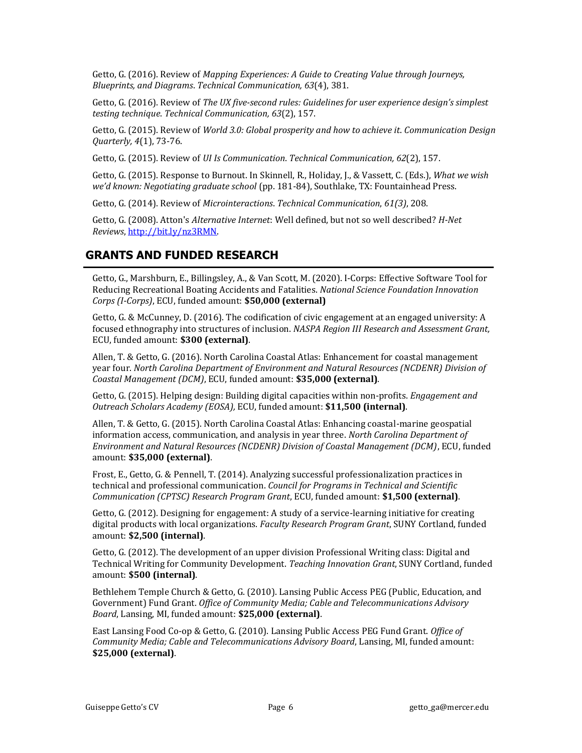Getto, G. (2016). Review of *Mapping Experiences: A Guide to Creating Value through Journeys, Blueprints, and Diagrams*. *Technical Communication, 63*(4), 381.

Getto, G. (2016). Review of *The UX five-second rules: Guidelines for user experience design's simplest testing technique*. *Technical Communication, 63*(2), 157.

Getto, G. (2015). Review of *World 3.0: Global prosperity and how to achieve it*. *Communication Design Quarterly, 4*(1), 73-76.

Getto, G. (2015). Review of *UI Is Communication*. *Technical Communication, 62*(2), 157.

Getto, G. (2015). Response to Burnout. In Skinnell, R., Holiday, J., & Vassett, C. (Eds.), *What we wish we'd known: Negotiating graduate school* (pp. 181-84), Southlake, TX: Fountainhead Press.

Getto, G. (2014). Review of *Microinteractions*. *Technical Communication*, *61(3)*, 208.

Getto, G. (2008). Atton's *Alternative Internet*: Well defined, but not so well described? *H-Net Reviews*, [http://bit.ly/nz3RMN.](http://bit.ly/nz3RMN)

# **GRANTS AND FUNDED RESEARCH**

Getto, G., Marshburn, E., Billingsley, A., & Van Scott, M. (2020). I-Corps: Effective Software Tool for Reducing Recreational Boating Accidents and Fatalities. *National Science Foundation Innovation Corps (I-Corps)*, ECU, funded amount: **\$50,000 (external)**

Getto, G. & McCunney, D. (2016). The codification of civic engagement at an engaged university: A focused ethnography into structures of inclusion. *NASPA Region III Research and Assessment Grant,*  ECU, funded amount: **\$300 (external)**.

Allen, T. & Getto, G. (2016). North Carolina Coastal Atlas: Enhancement for coastal management year four. *North Carolina Department of Environment and Natural Resources (NCDENR) Division of Coastal Management (DCM)*, ECU, funded amount: **\$35,000 (external)**.

Getto, G. (2015). Helping design: Building digital capacities within non-profits. *Engagement and Outreach Scholars Academy (EOSA),* ECU, funded amount: **\$11,500 (internal)**.

Allen, T. & Getto, G. (2015). North Carolina Coastal Atlas: Enhancing coastal-marine geospatial information access, communication, and analysis in year three. *North Carolina Department of Environment and Natural Resources (NCDENR) Division of Coastal Management (DCM)*, ECU, funded amount: **\$35,000 (external)**.

Frost, E., Getto, G. & Pennell, T. (2014). Analyzing successful professionalization practices in technical and professional communication. *Council for Programs in Technical and Scientific Communication (CPTSC) Research Program Grant*, ECU, funded amount: **\$1,500 (external)**.

Getto, G. (2012). Designing for engagement: A study of a service-learning initiative for creating digital products with local organizations. *Faculty Research Program Grant*, SUNY Cortland, funded amount: **\$2,500 (internal)**.

Getto, G. (2012). The development of an upper division Professional Writing class: Digital and Technical Writing for Community Development. *Teaching Innovation Grant*, SUNY Cortland, funded amount: **\$500 (internal)**.

Bethlehem Temple Church & Getto, G. (2010). Lansing Public Access PEG (Public, Education, and Government) Fund Grant. *Office of Community Media; Cable and Telecommunications Advisory Board*, Lansing, MI, funded amount: **\$25,000 (external)**.

East Lansing Food Co-op & Getto, G. (2010). Lansing Public Access PEG Fund Grant. *Office of Community Media; Cable and Telecommunications Advisory Board*, Lansing, MI, funded amount: **\$25,000 (external)**.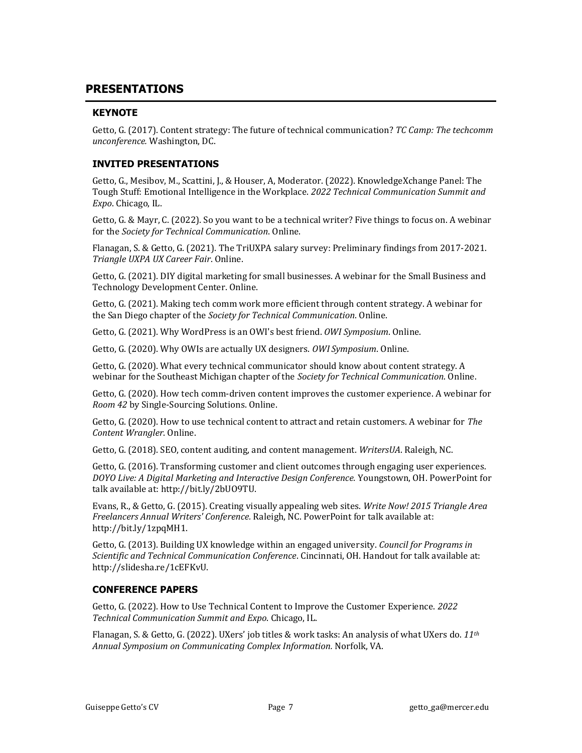# **PRESENTATIONS**

# **KEYNOTE**

Getto, G. (2017). Content strategy: The future of technical communication? *TC Camp: The techcomm unconference.* Washington, DC.

# **INVITED PRESENTATIONS**

Getto, G., Mesibov, M., Scattini, J., & Houser, A, Moderator. (2022). KnowledgeXchange Panel: The Tough Stuff: Emotional Intelligence in the Workplace. *2022 Technical Communication Summit and Expo*. Chicago, IL.

Getto, G. & Mayr, C. (2022). So you want to be a technical writer? Five things to focus on. A webinar for the *Society for Technical Communication*. Online.

Flanagan, S. & Getto, G. (2021). The TriUXPA salary survey: Preliminary findings from 2017-2021. *Triangle UXPA UX Career Fair*. Online.

Getto, G. (2021). DIY digital marketing for small businesses. A webinar for the Small Business and Technology Development Center. Online.

Getto, G. (2021). Making tech comm work more efficient through content strategy. A webinar for the San Diego chapter of the *Society for Technical Communication*. Online.

Getto, G. (2021). Why WordPress is an OWI's best friend. *OWI Symposium*. Online.

Getto, G. (2020). Why OWIs are actually UX designers. *OWI Symposium*. Online.

Getto, G. (2020). What every technical communicator should know about content strategy. A webinar for the Southeast Michigan chapter of the *Society for Technical Communication*. Online.

Getto, G. (2020). How tech comm-driven content improves the customer experience. A webinar for *Room 42* by Single-Sourcing Solutions. Online.

Getto, G. (2020). How to use technical content to attract and retain customers. A webinar for *The Content Wrangler*. Online.

Getto, G. (2018). SEO, content auditing, and content management. *WritersUA*. Raleigh, NC.

Getto, G. (2016). Transforming customer and client outcomes through engaging user experiences. *DOYO Live: A Digital Marketing and Interactive Design Conference.* Youngstown, OH. PowerPoint for talk available at: http://bit.ly/2bUO9TU.

Evans, R., & Getto, G. (2015). Creating visually appealing web sites. *Write Now! 2015 Triangle Area Freelancers Annual Writers' Conference.* Raleigh, NC. PowerPoint for talk available at: http://bit.ly/1zpqMH1.

Getto, G. (2013). Building UX knowledge within an engaged university. *Council for Programs in Scientific and Technical Communication Conference*. Cincinnati, OH. Handout for talk available at: http://slidesha.re/1cEFKvU.

# **CONFERENCE PAPERS**

Getto, G. (2022). How to Use Technical Content to Improve the Customer Experience. *2022 Technical Communication Summit and Expo*. Chicago, IL.

Flanagan, S. & Getto, G. (2022). UXers' job titles & work tasks: An analysis of what UXers do. *11th Annual Symposium on Communicating Complex Information.* Norfolk, VA.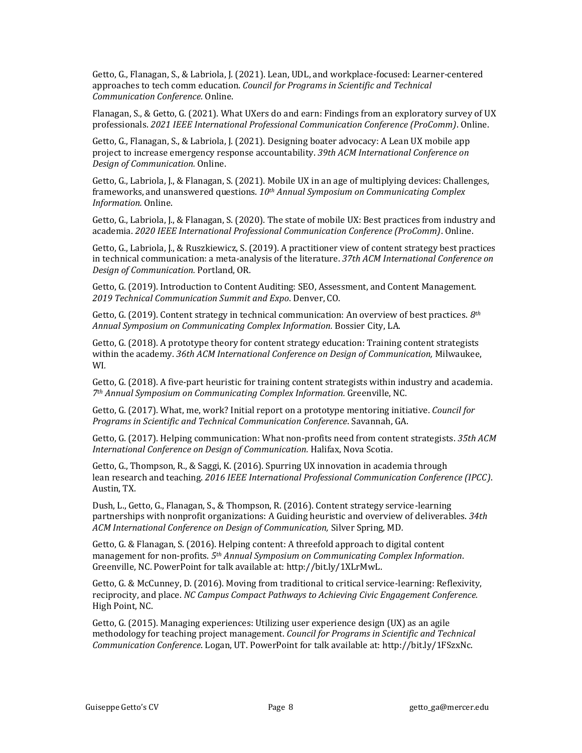Getto, G., Flanagan, S., & Labriola, J. (2021). Lean, UDL, and workplace-focused: Learner-centered approaches to tech comm education. *Council for Programs in Scientific and Technical Communication Conference.* Online.

Flanagan, S., & Getto, G. (2021). What UXers do and earn: Findings from an exploratory survey of UX professionals. *2021 IEEE International Professional Communication Conference (ProComm)*. Online.

Getto, G., Flanagan, S., & Labriola, J. (2021). Designing boater advocacy: A Lean UX mobile app project to increase emergency response accountability. *39th ACM International Conference on Design of Communication.* Online.

Getto, G., Labriola, J., & Flanagan, S. (2021). Mobile UX in an age of multiplying devices: Challenges, frameworks, and unanswered questions. *10th Annual Symposium on Communicating Complex Information.* Online.

Getto, G., Labriola, J., & Flanagan, S. (2020). The state of mobile UX: Best practices from industry and academia. *2020 IEEE International Professional Communication Conference (ProComm)*. Online.

Getto, G., Labriola, J., & Ruszkiewicz, S. (2019). A practitioner view of content strategy best practices in technical communication: a meta-analysis of the literature. *37th ACM International Conference on Design of Communication.* Portland, OR*.*

Getto, G. (2019). Introduction to Content Auditing: SEO, Assessment, and Content Management. *2019 Technical Communication Summit and Expo*. Denver, CO.

Getto, G. (2019). Content strategy in technical communication: An overview of best practices. *8th Annual Symposium on Communicating Complex Information.* Bossier City, LA.

Getto, G. (2018). A prototype theory for content strategy education: Training content strategists within the academy. *36th ACM International Conference on Design of Communication,* Milwaukee, WI*.*

Getto, G. (2018). A five-part heuristic for training content strategists within industry and academia. *7th Annual Symposium on Communicating Complex Information.* Greenville, NC.

Getto, G. (2017). What, me, work? Initial report on a prototype mentoring initiative. *Council for Programs in Scientific and Technical Communication Conference*. Savannah, GA.

Getto, G. (2017). Helping communication: What non-profits need from content strategists. *35th ACM International Conference on Design of Communication.* Halifax, Nova Scotia.

Getto, G., Thompson, R., & Saggi, K. (2016). Spurring UX innovation in academia through lean research and teaching. *2016 IEEE International Professional Communication Conference (IPCC)*. Austin, TX.

Dush, L., Getto, G., Flanagan, S., & Thompson, R. (2016). Content strategy service-learning partnerships with nonprofit organizations: A Guiding heuristic and overview of deliverables. *34th ACM International Conference on Design of Communication,* Silver Spring, MD*.*

Getto, G. & Flanagan, S. (2016). Helping content: A threefold approach to digital content management for non-profits. *5th Annual Symposium on Communicating Complex Information*. Greenville, NC. PowerPoint for talk available at: http://bit.ly/1XLrMwL.

Getto, G. & McCunney, D. (2016). Moving from traditional to critical service-learning: Reflexivity, reciprocity, and place. *NC Campus Compact Pathways to Achieving Civic Engagement Conference.*  High Point, NC.

Getto, G. (2015). Managing experiences: Utilizing user experience design (UX) as an agile methodology for teaching project management. *Council for Programs in Scientific and Technical Communication Conference*. Logan, UT. PowerPoint for talk available at: http://bit.ly/1FSzxNc.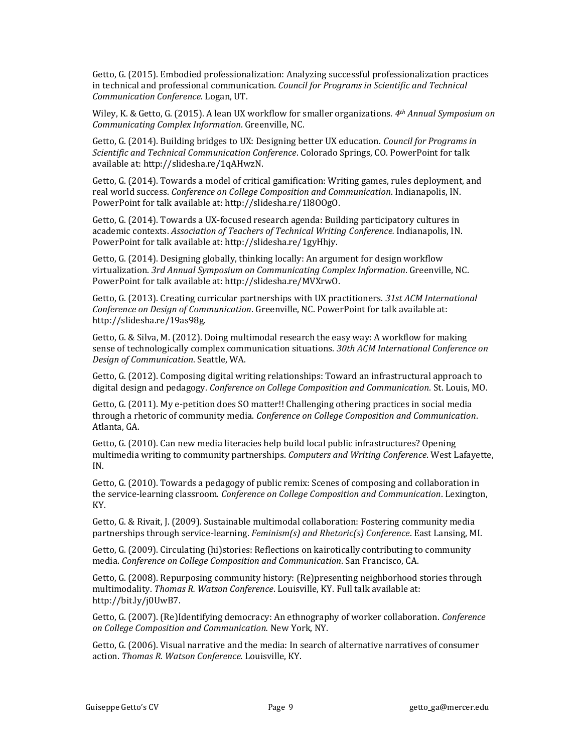Getto, G. (2015). Embodied professionalization: Analyzing successful professionalization practices in technical and professional communication. *Council for Programs in Scientific and Technical Communication Conference*. Logan, UT.

Wiley, K. & Getto, G. (2015). A lean UX workflow for smaller organizations. *4th Annual Symposium on Communicating Complex Information*. Greenville, NC.

Getto, G. (2014). Building bridges to UX: Designing better UX education. *Council for Programs in Scientific and Technical Communication Conference*. Colorado Springs, CO. PowerPoint for talk available at: http://slidesha.re/1qAHwzN.

Getto, G. (2014). Towards a model of critical gamification: Writing games, rules deployment, and real world success. *Conference on College Composition and Communication*. Indianapolis, IN. PowerPoint for talk available at: http://slidesha.re/1l8OOgO.

Getto, G. (2014). Towards a UX-focused research agenda: Building participatory cultures in academic contexts. *Association of Teachers of Technical Writing Conference.* Indianapolis, IN. PowerPoint for talk available at: http://slidesha.re/1gyHhjy.

Getto, G. (2014). Designing globally, thinking locally: An argument for design workflow virtualization. *3rd Annual Symposium on Communicating Complex Information*. Greenville, NC. PowerPoint for talk available at: http://slidesha.re/MVXrwO.

Getto, G. (2013). Creating curricular partnerships with UX practitioners. *31st ACM International Conference on Design of Communication*. Greenville, NC. PowerPoint for talk available at: http://slidesha.re/19as98g.

Getto, G. & Silva, M. (2012). Doing multimodal research the easy way: A workflow for making sense of technologically complex communication situations. *30th ACM International Conference on Design of Communication*. Seattle, WA.

Getto, G. (2012). Composing digital writing relationships: Toward an infrastructural approach to digital design and pedagogy. *Conference on College Composition and Communication*. St. Louis, MO.

Getto, G. (2011). My e-petition does SO matter!! Challenging othering practices in social media through a rhetoric of community media. *Conference on College Composition and Communication*. Atlanta, GA.

Getto, G. (2010). Can new media literacies help build local public infrastructures? Opening multimedia writing to community partnerships. *Computers and Writing Conference*. West Lafayette, IN.

Getto, G. (2010). Towards a pedagogy of public remix: Scenes of composing and collaboration in the service-learning classroom. *Conference on College Composition and Communication*. Lexington, KY.

Getto, G. & Rivait, J. (2009). Sustainable multimodal collaboration: Fostering community media partnerships through service-learning. *Feminism(s) and Rhetoric(s) Conference*. East Lansing, MI.

Getto, G. (2009). Circulating (hi)stories: Reflections on kairotically contributing to community media. *Conference on College Composition and Communication*. San Francisco, CA.

Getto, G. (2008). Repurposing community history: (Re)presenting neighborhood stories through multimodality. *Thomas R. Watson Conference*. Louisville, KY. Full talk available at: http://bit.ly/j0UwB7.

Getto, G. (2007). (Re)Identifying democracy: An ethnography of worker collaboration. *Conference on College Composition and Communication.* New York, NY.

Getto, G. (2006). Visual narrative and the media: In search of alternative narratives of consumer action. *Thomas R. Watson Conference.* Louisville, KY.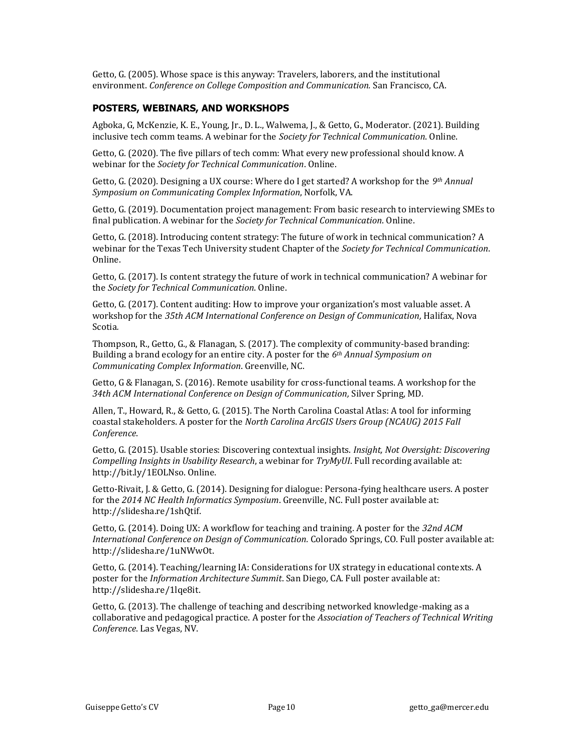Getto, G. (2005). Whose space is this anyway: Travelers, laborers, and the institutional environment. *Conference on College Composition and Communication.* San Francisco, CA.

## **POSTERS, WEBINARS, AND WORKSHOPS**

Agboka, G, McKenzie, K. E., Young, Jr., D. L., Walwema, J., & Getto, G., Moderator. (2021). Building inclusive tech comm teams. A webinar for the *Society for Technical Communication*. Online.

Getto, G. (2020). The five pillars of tech comm: What every new professional should know. A webinar for the *Society for Technical Communication*. Online.

Getto, G. (2020). Designing a UX course: Where do I get started? A workshop for the *9th Annual Symposium on Communicating Complex Information*, Norfolk, VA.

Getto, G. (2019). Documentation project management: From basic research to interviewing SMEs to final publication. A webinar for the *Society for Technical Communication*. Online.

Getto, G. (2018). Introducing content strategy: The future of work in technical communication? A webinar for the Texas Tech University student Chapter of the *Society for Technical Communication*. Online.

Getto, G. (2017). Is content strategy the future of work in technical communication? A webinar for the *Society for Technical Communication*. Online.

Getto, G. (2017). Content auditing: How to improve your organization's most valuable asset. A workshop for the *35th ACM International Conference on Design of Communication,* Halifax, Nova Scotia*.*

Thompson, R., Getto, G., & Flanagan, S. (2017). The complexity of community-based branding: Building a brand ecology for an entire city. A poster for the *6th Annual Symposium on Communicating Complex Information*. Greenville, NC.

Getto, G & Flanagan, S. (2016). Remote usability for cross-functional teams. A workshop for the *34th ACM International Conference on Design of Communication,* Silver Spring, MD*.*

Allen, T., Howard, R., & Getto, G. (2015). The North Carolina Coastal Atlas: A tool for informing coastal stakeholders. A poster for the *North Carolina ArcGIS Users Group (NCAUG) 2015 Fall Conference*.

Getto, G. (2015). Usable stories: Discovering contextual insights. *Insight, Not Oversight: Discovering Compelling Insights in Usability Research*, a webinar for *TryMyUI*. Full recording available at: http://bit.ly/1EOLNso. Online.

Getto-Rivait, J. & Getto, G. (2014). Designing for dialogue: Persona-fying healthcare users. A poster for the *2014 NC Health Informatics Symposium*. Greenville, NC. Full poster available at: http://slidesha.re/1shQtif.

Getto, G. (2014). Doing UX: A workflow for teaching and training. A poster for the *32nd ACM International Conference on Design of Communication.* Colorado Springs, CO. Full poster available at: http://slidesha.re/1uNWwOt.

Getto, G. (2014). Teaching/learning IA: Considerations for UX strategy in educational contexts. A poster for the *Information Architecture Summit*. San Diego, CA. Full poster available at: http://slidesha.re/1lqe8it.

Getto, G. (2013). The challenge of teaching and describing networked knowledge-making as a collaborative and pedagogical practice. A poster for the *Association of Teachers of Technical Writing Conference*. Las Vegas, NV.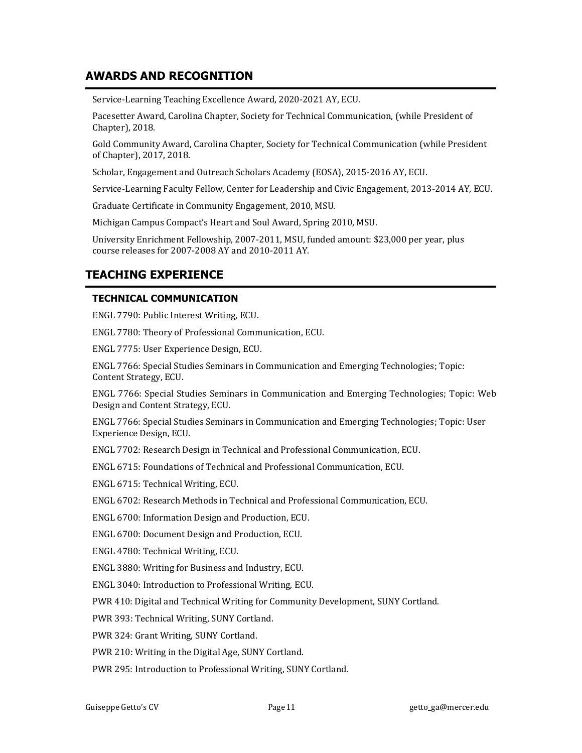# **AWARDS AND RECOGNITION**

Service-Learning Teaching Excellence Award, 2020-2021 AY, ECU.

Pacesetter Award, Carolina Chapter, Society for Technical Communication, (while President of Chapter), 2018.

Gold Community Award, Carolina Chapter, Society for Technical Communication (while President of Chapter), 2017, 2018.

Scholar, Engagement and Outreach Scholars Academy (EOSA), 2015-2016 AY, ECU.

Service-Learning Faculty Fellow, Center for Leadership and Civic Engagement, 2013-2014 AY, ECU.

Graduate Certificate in Community Engagement, 2010, MSU.

Michigan Campus Compact's Heart and Soul Award, Spring 2010, MSU.

University Enrichment Fellowship, 2007-2011, MSU, funded amount: \$23,000 per year, plus course releases for 2007-2008 AY and 2010-2011 AY.

# **TEACHING EXPERIENCE**

# **TECHNICAL COMMUNICATION**

ENGL 7790: Public Interest Writing, ECU.

ENGL 7780: Theory of Professional Communication, ECU.

ENGL 7775: User Experience Design, ECU.

ENGL 7766: Special Studies Seminars in Communication and Emerging Technologies; Topic: Content Strategy, ECU.

ENGL 7766: Special Studies Seminars in Communication and Emerging Technologies; Topic: Web Design and Content Strategy, ECU.

ENGL 7766: Special Studies Seminars in Communication and Emerging Technologies; Topic: User Experience Design, ECU.

ENGL 7702: Research Design in Technical and Professional Communication, ECU.

ENGL 6715: Foundations of Technical and Professional Communication, ECU.

ENGL 6715: Technical Writing, ECU.

ENGL 6702: Research Methods in Technical and Professional Communication, ECU.

ENGL 6700: Information Design and Production, ECU.

ENGL 6700: Document Design and Production, ECU.

ENGL 4780: Technical Writing, ECU.

ENGL 3880: Writing for Business and Industry, ECU.

ENGL 3040: Introduction to Professional Writing, ECU.

PWR 410: Digital and Technical Writing for Community Development, SUNY Cortland.

PWR 393: Technical Writing, SUNY Cortland.

PWR 324: Grant Writing, SUNY Cortland.

PWR 210: Writing in the Digital Age, SUNY Cortland.

PWR 295: Introduction to Professional Writing, SUNY Cortland.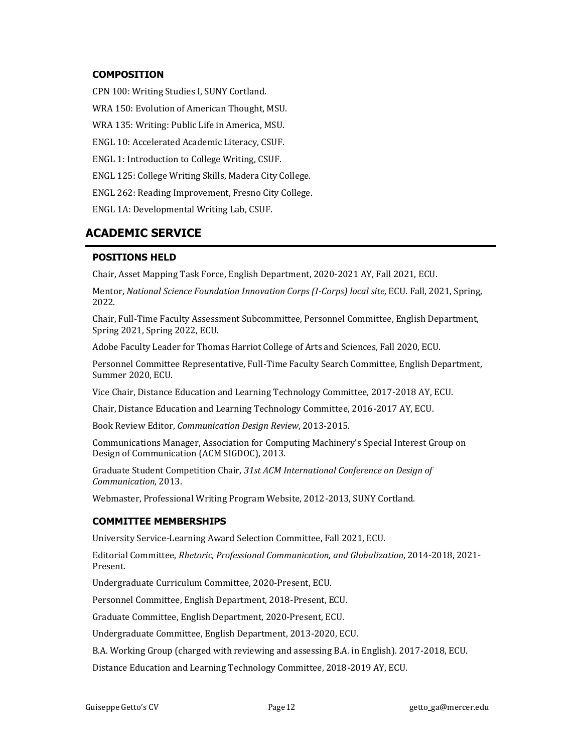## **COMPOSITION**

CPN 100: Writing Studies I, SUNY Cortland.

WRA 150: Evolution of American Thought, MSU.

WRA 135: Writing: Public Life in America, MSU.

ENGL 10: Accelerated Academic Literacy, CSUF.

ENGL 1: Introduction to College Writing, CSUF.

ENGL 125: College Writing Skills, Madera City College.

ENGL 262: Reading Improvement, Fresno City College.

ENGL 1A: Developmental Writing Lab, CSUF.

# **ACADEMIC SERVICE**

## **POSITIONS HELD**

Chair, Asset Mapping Task Force, English Department, 2020-2021 AY, Fall 2021, ECU.

Mentor, *National Science Foundation Innovation Corps (I-Corps) local site,* ECU. Fall, 2021, Spring, 2022.

Chair, Full-Time Faculty Assessment Subcommittee, Personnel Committee, English Department, Spring 2021, Spring 2022, ECU.

Adobe Faculty Leader for Thomas Harriot College of Arts and Sciences, Fall 2020, ECU.

Personnel Committee Representative, Full-Time Faculty Search Committee, English Department, Summer 2020, ECU.

Vice Chair, Distance Education and Learning Technology Committee, 2017-2018 AY, ECU.

Chair, Distance Education and Learning Technology Committee, 2016-2017 AY, ECU.

Book Review Editor, *Communication Design Review*, 2013-2015.

Communications Manager, Association for Computing Machinery's Special Interest Group on Design of Communication (ACM SIGDOC), 2013.

Graduate Student Competition Chair, *31st ACM International Conference on Design of Communication*, 2013.

Webmaster, Professional Writing Program Website, 2012-2013, SUNY Cortland.

## **COMMITTEE MEMBERSHIPS**

University Service-Learning Award Selection Committee, Fall 2021, ECU.

Editorial Committee, *Rhetoric, Professional Communication, and Globalization*, 2014-2018, 2021- Present.

Undergraduate Curriculum Committee, 2020-Present, ECU.

Personnel Committee, English Department, 2018-Present, ECU.

Graduate Committee, English Department, 2020-Present, ECU.

Undergraduate Committee, English Department, 2013-2020, ECU.

B.A. Working Group (charged with reviewing and assessing B.A. in English). 2017-2018, ECU.

Distance Education and Learning Technology Committee, 2018-2019 AY, ECU.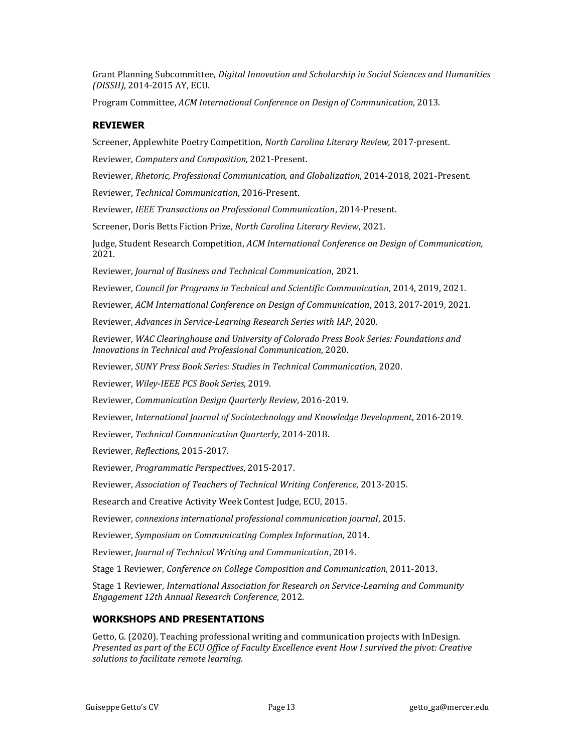Grant Planning Subcommittee, *Digital Innovation and Scholarship in Social Sciences and Humanities (DISSH)*, 2014-2015 AY, ECU.

Program Committee, *ACM International Conference on Design of Communication*, 2013.

# **REVIEWER**

Screener, Applewhite Poetry Competition, *North Carolina Literary Review,* 2017-present.

Reviewer, *Computers and Composition,* 2021-Present.

Reviewer, *Rhetoric, Professional Communication, and Globalization*, 2014-2018, 2021-Present.

Reviewer, *Technical Communication*, 2016-Present.

Reviewer, *IEEE Transactions on Professional Communication*, 2014-Present.

Screener, Doris Betts Fiction Prize, *North Carolina Literary Review*, 2021.

Judge, Student Research Competition, *ACM International Conference on Design of Communication,* 2021.

Reviewer, *Journal of Business and Technical Communication*, 2021.

Reviewer, *Council for Programs in Technical and Scientific Communication,* 2014, 2019, 2021.

Reviewer, *ACM International Conference on Design of Communication*, 2013, 2017-2019, 2021.

Reviewer, *Advances in Service-Learning Research Series with IAP*, 2020.

Reviewer, *WAC Clearinghouse and University of Colorado Press Book Series: Foundations and Innovations in Technical and Professional Communication,* 2020.

Reviewer, *SUNY Press Book Series: Studies in Technical Communication*, 2020.

Reviewer, *Wiley-IEEE PCS Book Series*, 2019.

Reviewer, *Communication Design Quarterly Review*, 2016-2019.

Reviewer, *International Journal of Sociotechnology and Knowledge Development*, 2016-2019.

Reviewer, *Technical Communication Quarterly*, 2014-2018.

Reviewer, *Reflections*, 2015-2017.

Reviewer, *Programmatic Perspectives*, 2015-2017.

Reviewer, *Association of Teachers of Technical Writing Conference*, 2013-2015.

Research and Creative Activity Week Contest Judge, ECU, 2015.

Reviewer, *connexions international professional communication journal*, 2015.

Reviewer, *Symposium on Communicating Complex Information,* 2014.

Reviewer, *Journal of Technical Writing and Communication*, 2014.

Stage 1 Reviewer, *Conference on College Composition and Communication*, 2011-2013.

Stage 1 Reviewer, *International Association for Research on Service-Learning and Community Engagement 12th Annual Research Conference*, 2012.

# **WORKSHOPS AND PRESENTATIONS**

Getto, G. (2020). Teaching professional writing and communication projects with InDesign. *Presented as part of the ECU Office of Faculty Excellence event How I survived the pivot: Creative solutions to facilitate remote learning.*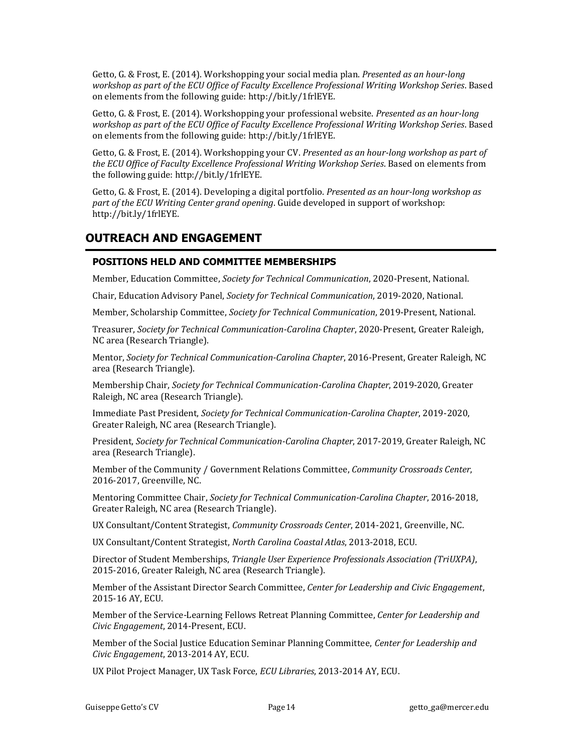Getto, G. & Frost, E. (2014). Workshopping your social media plan. *Presented as an hour-long workshop as part of the ECU Office of Faculty Excellence Professional Writing Workshop Series*. Based on elements from the following guide: http://bit.ly/1frlEYE.

Getto, G. & Frost, E. (2014). Workshopping your professional website. *Presented as an hour-long workshop as part of the ECU Office of Faculty Excellence Professional Writing Workshop Series*. Based on elements from the following guide: http://bit.ly/1frlEYE.

Getto, G. & Frost, E. (2014). Workshopping your CV. *Presented as an hour-long workshop as part of the ECU Office of Faculty Excellence Professional Writing Workshop Series*. Based on elements from the following guide: http://bit.ly/1frlEYE.

Getto, G. & Frost, E. (2014). Developing a digital portfolio. *Presented as an hour-long workshop as part of the ECU Writing Center grand opening*. Guide developed in support of workshop: [http://bit.ly/1frlEYE.](http://bit.ly/1frlEYE)

# **OUTREACH AND ENGAGEMENT**

# **POSITIONS HELD AND COMMITTEE MEMBERSHIPS**

Member, Education Committee, *Society for Technical Communication*, 2020-Present, National.

Chair, Education Advisory Panel, *Society for Technical Communication*, 2019-2020, National.

Member, Scholarship Committee, *Society for Technical Communication*, 2019-Present, National.

Treasurer, *Society for Technical Communication-Carolina Chapter*, 2020-Present, Greater Raleigh, NC area (Research Triangle).

Mentor, *Society for Technical Communication-Carolina Chapter*, 2016-Present, Greater Raleigh, NC area (Research Triangle).

Membership Chair, *Society for Technical Communication-Carolina Chapter*, 2019-2020, Greater Raleigh, NC area (Research Triangle).

Immediate Past President, *Society for Technical Communication-Carolina Chapter*, 2019-2020, Greater Raleigh, NC area (Research Triangle).

President, *Society for Technical Communication-Carolina Chapter*, 2017-2019, Greater Raleigh, NC area (Research Triangle).

Member of the Community / Government Relations Committee, *Community Crossroads Center*, 2016-2017, Greenville, NC.

Mentoring Committee Chair, *Society for Technical Communication-Carolina Chapter*, 2016-2018, Greater Raleigh, NC area (Research Triangle).

UX Consultant/Content Strategist, *Community Crossroads Center*, 2014-2021, Greenville, NC.

UX Consultant/Content Strategist, *North Carolina Coastal Atlas*, 2013-2018, ECU.

Director of Student Memberships, *Triangle User Experience Professionals Association (TriUXPA)*, 2015-2016, Greater Raleigh, NC area (Research Triangle).

Member of the Assistant Director Search Committee, *Center for Leadership and Civic Engagement*, 2015-16 AY, ECU.

Member of the Service-Learning Fellows Retreat Planning Committee, *Center for Leadership and Civic Engagement*, 2014-Present, ECU.

Member of the Social Justice Education Seminar Planning Committee, *Center for Leadership and Civic Engagement*, 2013-2014 AY, ECU.

UX Pilot Project Manager, UX Task Force, *ECU Libraries*, 2013-2014 AY, ECU.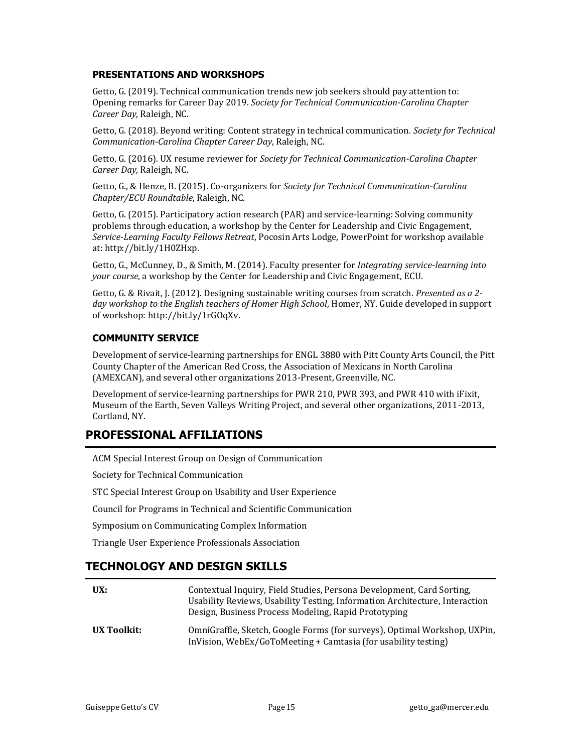## **PRESENTATIONS AND WORKSHOPS**

Getto, G. (2019). Technical communication trends new job seekers should pay attention to: Opening remarks for Career Day 2019. *Society for Technical Communication-Carolina Chapter Career Day*, Raleigh, NC.

Getto, G. (2018). Beyond writing: Content strategy in technical communication. *Society for Technical Communication-Carolina Chapter Career Day*, Raleigh, NC.

Getto, G. (2016). UX resume reviewer for *Society for Technical Communication-Carolina Chapter Career Day*, Raleigh, NC.

Getto, G., & Henze, B. (2015). Co-organizers for *Society for Technical Communication-Carolina Chapter/ECU Roundtable*, Raleigh, NC.

Getto, G. (2015). Participatory action research (PAR) and service-learning: Solving community problems through education, a workshop by the Center for Leadership and Civic Engagement, *Service-Learning Faculty Fellows Retreat*, Pocosin Arts Lodge, PowerPoint for workshop available at: http://bit.ly/1H0ZHxp.

Getto, G., McCunney, D., & Smith, M. (2014). Faculty presenter for *Integrating service-learning into your course*, a workshop by the Center for Leadership and Civic Engagement, ECU.

Getto, G. & Rivait, J. (2012). Designing sustainable writing courses from scratch. *Presented as a 2 day workshop to the English teachers of Homer High School*, Homer, NY. Guide developed in support of workshop: http://bit.ly/1rGOqXv.

# **COMMUNITY SERVICE**

Development of service-learning partnerships for ENGL 3880 with Pitt County Arts Council, the Pitt County Chapter of the American Red Cross, the Association of Mexicans in North Carolina (AMEXCAN), and several other organizations 2013-Present, Greenville, NC.

Development of service-learning partnerships for PWR 210, PWR 393, and PWR 410 with iFixit, Museum of the Earth, Seven Valleys Writing Project, and several other organizations, 2011-2013, Cortland, NY.

# **PROFESSIONAL AFFILIATIONS**

ACM Special Interest Group on Design of Communication

Society for Technical Communication

STC Special Interest Group on Usability and User Experience

Council for Programs in Technical and Scientific Communication

Symposium on Communicating Complex Information

Triangle User Experience Professionals Association

# **TECHNOLOGY AND DESIGN SKILLS**

| UX:         | Contextual Inquiry, Field Studies, Persona Development, Card Sorting,<br>Usability Reviews, Usability Testing, Information Architecture, Interaction<br>Design, Business Process Modeling, Rapid Prototyping |
|-------------|--------------------------------------------------------------------------------------------------------------------------------------------------------------------------------------------------------------|
| UX Toolkit: | OmniGraffle, Sketch, Google Forms (for surveys), Optimal Workshop, UXPin,<br>InVision, WebEx/GoToMeeting + Camtasia (for usability testing)                                                                  |